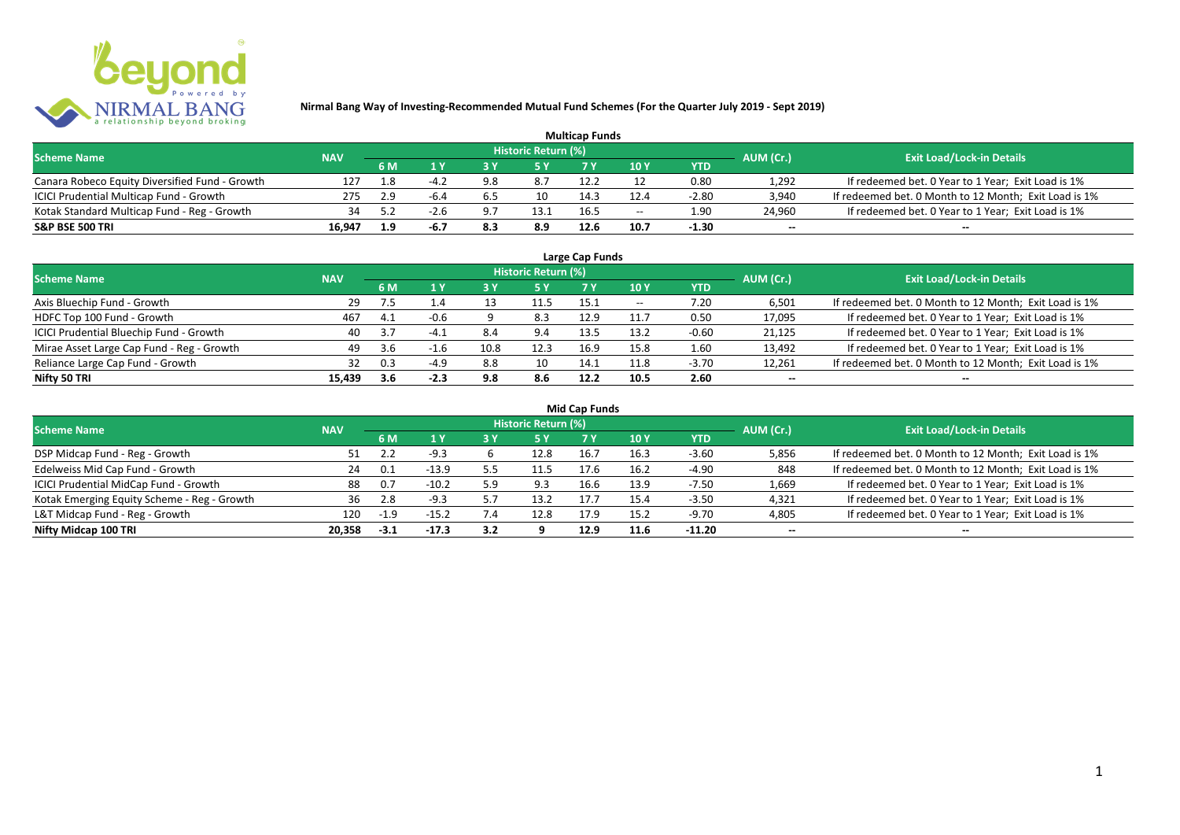

| <b>Multicap Funds</b>                          |            |     |      |            |                            |      |                          |         |                          |                                                       |  |  |  |
|------------------------------------------------|------------|-----|------|------------|----------------------------|------|--------------------------|---------|--------------------------|-------------------------------------------------------|--|--|--|
| <b>Scheme Name</b>                             | <b>NAV</b> |     |      |            | <b>Historic Return (%)</b> |      |                          |         | AUM (Cr.)                | <b>Exit Load/Lock-in Details</b>                      |  |  |  |
|                                                |            | 6 M |      |            |                            |      | 10Y                      | YTD     |                          |                                                       |  |  |  |
| Canara Robeco Equity Diversified Fund - Growth | 127        | ⊥.8 | -4.2 | 9.8        | 8.7                        | 12.2 |                          | 0.80    | 1,292                    | If redeemed bet. 0 Year to 1 Year; Exit Load is 1%    |  |  |  |
| ICICI Prudential Multicap Fund - Growth        | 275        | 2.9 | -6.4 | b.5        | 10                         | 14.3 | 12.4                     | $-2.80$ | 3,940                    | If redeemed bet. 0 Month to 12 Month; Exit Load is 1% |  |  |  |
| Kotak Standard Multicap Fund - Reg - Growth    |            |     |      | <u>ດ =</u> | 13.1                       | 16.5 | $\overline{\phantom{a}}$ | 1.90    | 24,960                   | If redeemed bet. 0 Year to 1 Year; Exit Load is 1%    |  |  |  |
| S&P BSE 500 TRI                                | 16.947     |     | -6.7 | 8.3        | 8.9                        | 12.6 | 10.7                     | $-1.30$ | $\overline{\phantom{a}}$ | $\overline{\phantom{a}}$                              |  |  |  |

| Large Cap Funds<br>Historic Return (%)    |            |     |        |      |      |      |       |            |                          |                                                       |  |  |  |  |
|-------------------------------------------|------------|-----|--------|------|------|------|-------|------------|--------------------------|-------------------------------------------------------|--|--|--|--|
| <b>Scheme Name</b>                        | <b>NAV</b> | 6 M | 1 Y    |      | 5 Y  |      | 10Y   | <b>YTD</b> | AUM (Cr.)                | <b>Exit Load/Lock-in Details</b>                      |  |  |  |  |
| Axis Bluechip Fund - Growth               | -29        | 7.5 | 1.4    |      | 11.5 | 15.1 | $- -$ | 7.20       | 6,501                    | If redeemed bet. 0 Month to 12 Month; Exit Load is 1% |  |  |  |  |
| HDFC Top 100 Fund - Growth                | 467        | 4.1 | $-0.6$ |      | 8.3  | 12.9 | 11.7  | 0.50       | 17,095                   | If redeemed bet. 0 Year to 1 Year; Exit Load is 1%    |  |  |  |  |
| ICICI Prudential Bluechip Fund - Growth   | 40         | 3.7 | $-4.1$ | 8.4  | 9.4  | 13.5 | 13.2  | $-0.60$    | 21,125                   | If redeemed bet. 0 Year to 1 Year; Exit Load is 1%    |  |  |  |  |
| Mirae Asset Large Cap Fund - Reg - Growth | 49         | 3.6 | ⊥.b    | 10.8 | 12.3 | 16.9 | 15.8  | 1.60       | 13,492                   | If redeemed bet. 0 Year to 1 Year; Exit Load is 1%    |  |  |  |  |
| Reliance Large Cap Fund - Growth          |            | 0.3 | -4.9   | 8.8  | 10   | 14.1 | 11.8  | $-3.70$    | 12,261                   | If redeemed bet. 0 Month to 12 Month; Exit Load is 1% |  |  |  |  |
| Nifty 50 TRI                              | 15.439     | 3.6 | $-2.3$ | 9.8  | 8.6  | 12.2 | 10.5  | 2.60       | $\overline{\phantom{a}}$ | $\overline{\phantom{a}}$                              |  |  |  |  |

| <b>Mid Cap Funds</b>                        |            |        |            |     |                     |      |      |            |                          |                                                       |  |  |  |  |
|---------------------------------------------|------------|--------|------------|-----|---------------------|------|------|------------|--------------------------|-------------------------------------------------------|--|--|--|--|
| <b>Scheme Name</b>                          | <b>NAV</b> |        |            |     | Historic Return (%) |      |      |            | AUM (Cr.)                | <b>Exit Load/Lock-in Details</b>                      |  |  |  |  |
|                                             |            | 6 M    | <b>1 Y</b> | 3 Y | <b>5 Y</b>          | 7 Y  | 10 Y | <b>YTD</b> |                          |                                                       |  |  |  |  |
| DSP Midcap Fund - Reg - Growth              | 51         |        | $-9.3$     |     | 12.8                | 16.7 | 16.3 | $-3.60$    | 5,856                    | If redeemed bet. 0 Month to 12 Month; Exit Load is 1% |  |  |  |  |
| Edelweiss Mid Cap Fund - Growth             | 24         | 0.1    | $-13.9$    |     | 11.5                | 17.6 | 16.2 | $-4.90$    | 848                      | If redeemed bet. 0 Month to 12 Month; Exit Load is 1% |  |  |  |  |
| ICICI Prudential MidCap Fund - Growth       | 88         | 0.7    | $-10.2$    | 5.9 | 9.3                 | 16.6 | 13.9 | $-7.50$    | 1,669                    | If redeemed bet. 0 Year to 1 Year; Exit Load is 1%    |  |  |  |  |
| Kotak Emerging Equity Scheme - Reg - Growth | 36         | 2.8    | $-9.3$     |     | 13.2                | 17.7 | 15.4 | $-3.50$    | 4,321                    | If redeemed bet. 0 Year to 1 Year; Exit Load is 1%    |  |  |  |  |
| L&T Midcap Fund - Reg - Growth              | 120        | $-1.9$ | $-15.2$    |     | 12.8                | 17.9 | 15.2 | $-9.70$    | 4,805                    | If redeemed bet. 0 Year to 1 Year; Exit Load is 1%    |  |  |  |  |
| Nifty Midcap 100 TRI                        | 20.358     | $-3.1$ | $-17.3$    | 3.2 |                     | 12.9 | 11.6 | -11.20     | $\overline{\phantom{a}}$ | $- -$                                                 |  |  |  |  |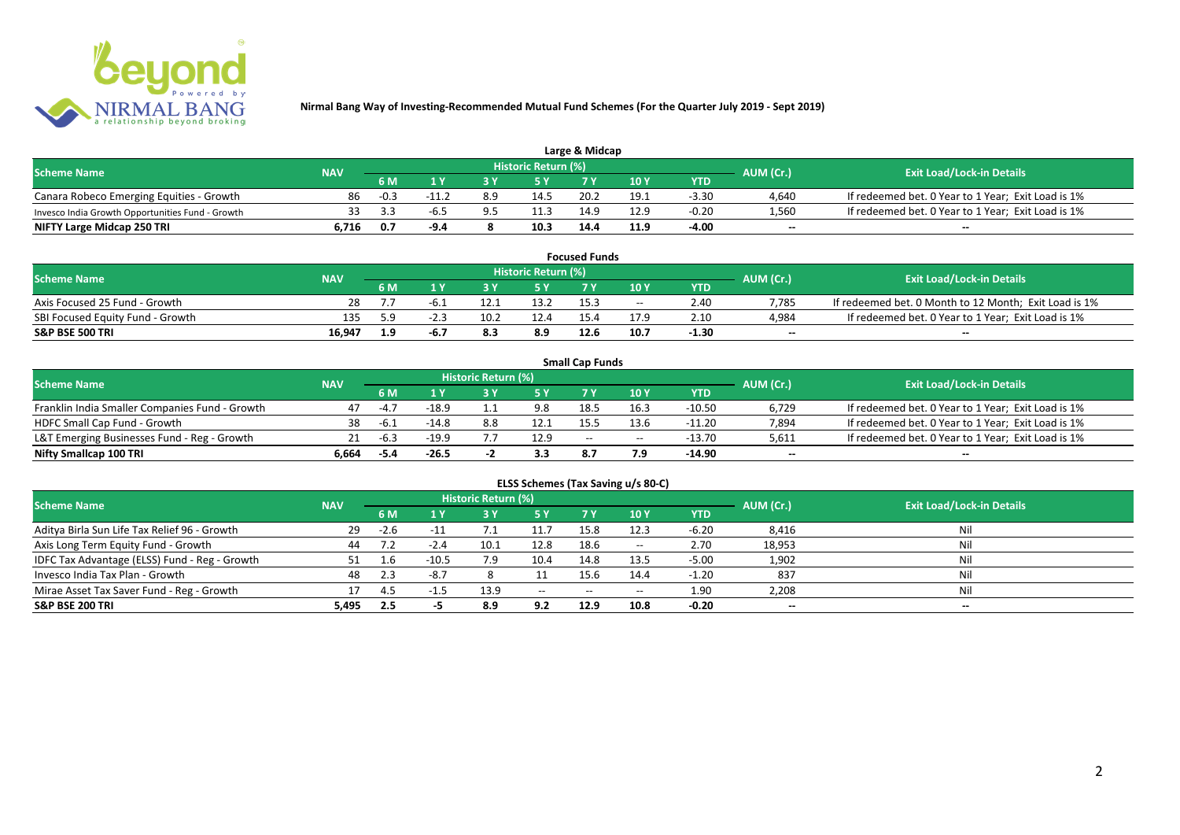

| Large & Midcap                                   |            |        |       |     |                     |      |      |         |           |                                                    |  |  |  |
|--------------------------------------------------|------------|--------|-------|-----|---------------------|------|------|---------|-----------|----------------------------------------------------|--|--|--|
| <b>Scheme Name</b>                               | <b>NAV</b> |        |       |     | Historic Return (%) |      |      |         | AUM (Cr.) | <b>Exit Load/Lock-in Details</b>                   |  |  |  |
|                                                  |            | 6 M    |       |     |                     |      | 10Y  | YTD     |           |                                                    |  |  |  |
| Canara Robeco Emerging Equities - Growth         | 86         | $-0.3$ |       | 8.9 | 14.5                | 20.2 | 19.1 | $-3.30$ | 4.640     | If redeemed bet. 0 Year to 1 Year; Exit Load is 1% |  |  |  |
| Invesco India Growth Opportunities Fund - Growth |            |        | -h. 5 |     | 11.3                | 14.9 | 12.9 | $-0.20$ | 1,560     | If redeemed bet. 0 Year to 1 Year; Exit Load is 1% |  |  |  |
| NIFTY Large Midcap 250 TRI                       | 6.716      | 0.7    | -9.4  |     | 10.3                | 14.4 | 11.9 | -4.00   | $-$       | $- -$                                              |  |  |  |

|                                  |            |     |        |      |                     | <b>Focused Funds</b> |       |            |           |                                                       |
|----------------------------------|------------|-----|--------|------|---------------------|----------------------|-------|------------|-----------|-------------------------------------------------------|
| <b>Scheme Name</b>               | <b>NAV</b> |     |        |      | Historic Return (%) |                      |       |            | AUM (Cr.) | <b>Exit Load/Lock-in Details</b>                      |
|                                  |            | 6 M | 4 V    |      | <b>EV</b>           | 7 V                  | 10 Y  | <b>YTD</b> |           |                                                       |
| Axis Focused 25 Fund - Growth    | 28         |     |        | 12.1 | 13.2                | 15.3                 | $- -$ | 2.40       | 7.785     | If redeemed bet. 0 Month to 12 Month; Exit Load is 1% |
| SBI Focused Equity Fund - Growth | 135        | 5.9 | $-2.7$ | 10.2 | 12.4                | 15.4                 | 17.9  | 2.10       | 4,984     | If redeemed bet. 0 Year to 1 Year; Exit Load is 1%    |
| S&P BSE 500 TRI                  | 16.947     | 1.9 | -6.7   |      | 8.9                 | 12.6                 | 10.7  | $-1.30$    | $-$       | $- -$                                                 |

|                                                |            |        |         |                     |      | <b>Small Cap Funds</b>                         |                                       |          |                          |                                                    |
|------------------------------------------------|------------|--------|---------|---------------------|------|------------------------------------------------|---------------------------------------|----------|--------------------------|----------------------------------------------------|
| <b>Scheme Name</b>                             | <b>NAV</b> |        |         | Historic Return (%) |      |                                                |                                       |          | AUM (Cr.)                | <b>Exit Load/Lock-in Details</b>                   |
|                                                |            | 6 M    |         |                     |      |                                                | 10 Y                                  | YTD      |                          |                                                    |
| Franklin India Smaller Companies Fund - Growth | 47         | $-4.7$ | $-18.9$ |                     | 9.8  | 18.5                                           | 16.3                                  | $-10.50$ | 6,729                    | If redeemed bet. 0 Year to 1 Year; Exit Load is 1% |
| HDFC Small Cap Fund - Growth                   | 38         | $-6.1$ | $-14.8$ | 8.8                 | 12.1 | 15.5                                           | 13.6                                  | $-11.20$ | 7,894                    | If redeemed bet. 0 Year to 1 Year; Exit Load is 1% |
| L&T Emerging Businesses Fund - Reg - Growth    |            | -6.3   | $-19.9$ |                     | 12.9 | $\hspace{0.1mm}-\hspace{0.1mm}-\hspace{0.1mm}$ | $\hspace{0.05cm}$ – $\hspace{0.05cm}$ | -13.70   | 5,611                    | If redeemed bet. 0 Year to 1 Year; Exit Load is 1% |
| Nifty Smallcap 100 TRI                         | 6.664      | -5.4   | $-26.5$ |                     | 3.3  | 8.7                                            | 7.9                                   | -14.90   | $\overline{\phantom{a}}$ | $-$                                                |

| ELSS Schemes (Tax Saving u/s 80-C)            |            |        |         |                     |       |           |                                       |            |                          |                                  |  |  |  |
|-----------------------------------------------|------------|--------|---------|---------------------|-------|-----------|---------------------------------------|------------|--------------------------|----------------------------------|--|--|--|
| <b>Scheme Name</b>                            | <b>NAV</b> |        |         | Historic Return (%) |       |           |                                       |            | AUM (Cr.)                | <b>Exit Load/Lock-in Details</b> |  |  |  |
|                                               |            | 6 M    | 1 Y     | 3 Y                 | 75 Y  | <b>7Y</b> | <b>10 Y</b>                           | <b>YTD</b> |                          |                                  |  |  |  |
| Aditya Birla Sun Life Tax Relief 96 - Growth  | 29         | $-2.6$ | $-11$   | 7.1                 | 11.7  | 15.8      | 12.3                                  | $-6.20$    | 8,416                    | Nil                              |  |  |  |
| Axis Long Term Equity Fund - Growth           | 44         |        | $-2.4$  | 10.1                | 12.8  | 18.6      | $\hspace{0.05cm}$ – $\hspace{0.05cm}$ | 2.70       | 18,953                   | Nil                              |  |  |  |
| IDFC Tax Advantage (ELSS) Fund - Reg - Growth |            | 1.b    | $-10.5$ | 7.9                 | 10.4  | 14.8      | 13.5                                  | $-5.00$    | 1,902                    | Nil                              |  |  |  |
| Invesco India Tax Plan - Growth               | 48         | 2.3    | $-8.7$  |                     |       | 15.6      | 14.4                                  | $-1.20$    | 837                      | Nil                              |  |  |  |
| Mirae Asset Tax Saver Fund - Reg - Growth     |            | 4.5    | -1      | 13.9                | $- -$ | $- -$     | $- -$                                 | 1.90       | 2,208                    | Nil                              |  |  |  |
| S&P BSE 200 TRI                               | 5,495      | 2.5    |         | 8.9                 | 9.2   | 12.9      | 10.8                                  | $-0.20$    | $\overline{\phantom{a}}$ | $\!-$                            |  |  |  |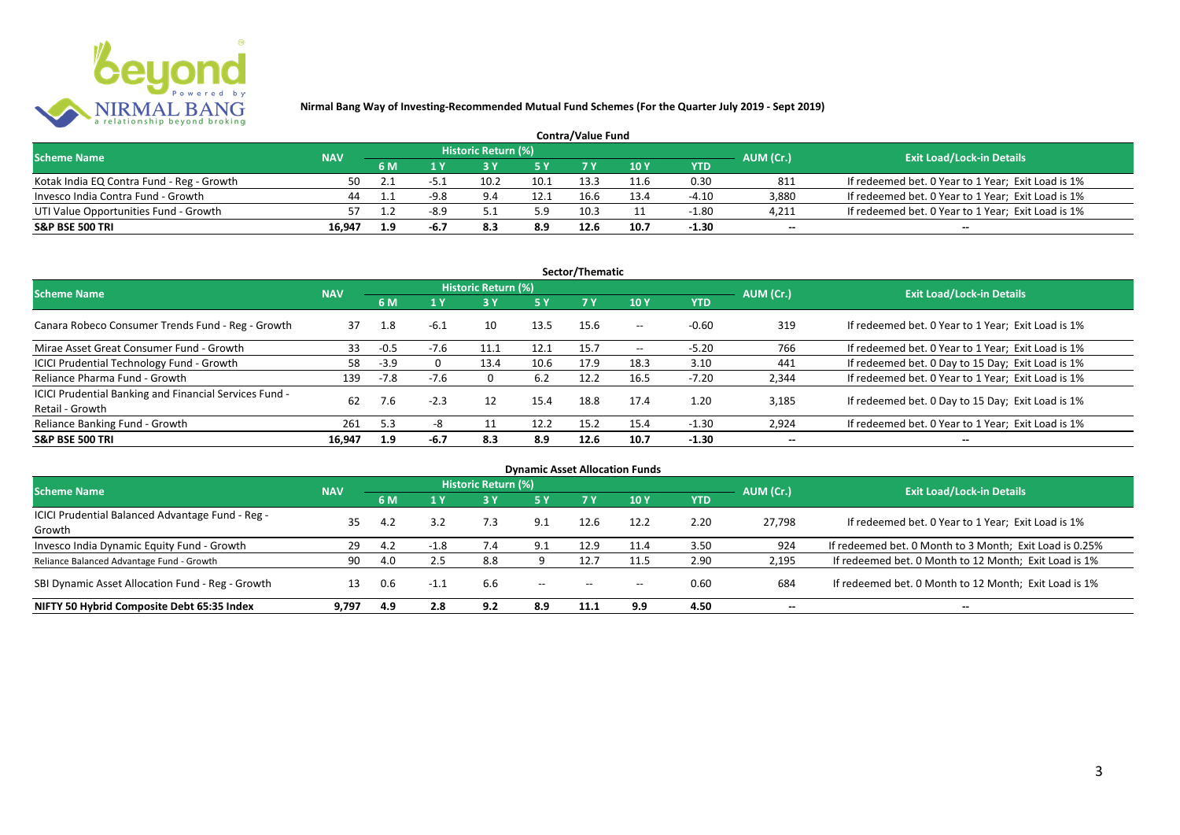

| <b>Contra/Value Fund</b>                  |            |     |        |                     |      |      |      |            |                          |                                                    |  |  |  |
|-------------------------------------------|------------|-----|--------|---------------------|------|------|------|------------|--------------------------|----------------------------------------------------|--|--|--|
| <b>Scheme Name</b>                        | <b>NAV</b> |     |        | Historic Return (%) |      |      |      |            | AUM (Cr.)                | <b>Exit Load/Lock-in Details</b>                   |  |  |  |
|                                           |            | 6 M |        |                     | E V  |      | 10Y  | <b>YTD</b> |                          |                                                    |  |  |  |
| Kotak India EQ Contra Fund - Reg - Growth | 50         |     | -51    | 10.2                | 10.1 | 13.3 | 11.6 | 0.30       | 811                      | If redeemed bet. 0 Year to 1 Year; Exit Load is 1% |  |  |  |
| Invesco India Contra Fund - Growth        | 44         |     | $-9.8$ | 9.4                 | 12.1 | 16.6 | 13.4 | $-4.10$    | 3,880                    | If redeemed bet. 0 Year to 1 Year; Exit Load is 1% |  |  |  |
| UTI Value Opportunities Fund - Growth     |            |     | $-8.9$ |                     | 5.9  | 10.3 |      | $-1.80$    | 4,211                    | If redeemed bet. 0 Year to 1 Year; Exit Load is 1% |  |  |  |
| <b>S&amp;P BSE 500 TRI</b>                | 16.947     | 1.9 | -6.7   |                     | 8.9  | 12.6 | 10.7 | $-1.30$    | $\overline{\phantom{a}}$ | $- -$                                              |  |  |  |

|                                                                           |            |        |        |                     |      | Sector/Thematic |                   |            |                          |                                                    |
|---------------------------------------------------------------------------|------------|--------|--------|---------------------|------|-----------------|-------------------|------------|--------------------------|----------------------------------------------------|
| <b>Scheme Name</b>                                                        | <b>NAV</b> |        |        | Historic Return (%) |      |                 |                   |            | AUM (Cr.)                | <b>Exit Load/Lock-in Details</b>                   |
|                                                                           |            | 6 M    | 4 Y    |                     | 5 Y  | <b>7Y</b>       | 10Y               | <b>YTD</b> |                          |                                                    |
| Canara Robeco Consumer Trends Fund - Reg - Growth                         | 37         | 1.8    | $-6.1$ | 10                  | 13.5 | 15.6            | $- -$             | $-0.60$    | 319                      | If redeemed bet. 0 Year to 1 Year; Exit Load is 1% |
| Mirae Asset Great Consumer Fund - Growth                                  | 33         | $-0.5$ | $-7.6$ | 11.1                | 12.1 | 15.7            | $\hspace{0.05cm}$ | $-5.20$    | 766                      | If redeemed bet. 0 Year to 1 Year; Exit Load is 1% |
| ICICI Prudential Technology Fund - Growth                                 | 58         | $-3.9$ |        | 13.4                | 10.6 | 17.9            | 18.3              | 3.10       | 441                      | If redeemed bet. 0 Day to 15 Day; Exit Load is 1%  |
| Reliance Pharma Fund - Growth                                             | 139        | $-7.8$ | $-7.6$ | 0                   | 6.2  | 12.2            | 16.5              | $-7.20$    | 2,344                    | If redeemed bet. 0 Year to 1 Year; Exit Load is 1% |
| ICICI Prudential Banking and Financial Services Fund -<br>Retail - Growth | 62         | 7.6    | $-2.3$ | 12                  | 15.4 | 18.8            | 17.4              | 1.20       | 3.185                    | If redeemed bet. 0 Day to 15 Day; Exit Load is 1%  |
| Reliance Banking Fund - Growth                                            | 261        | 5.3    | -8     |                     | 12.2 | 15.2            | 15.4              | $-1.30$    | 2,924                    | If redeemed bet. 0 Year to 1 Year; Exit Load is 1% |
| <b>S&amp;P BSE 500 TRI</b>                                                | 16.947     | 1.9    | $-6.7$ | 8.3                 | 8.9  | 12.6            | 10.7              | $-1.30$    | $\overline{\phantom{a}}$ | $- -$                                              |

| <b>Dynamic Asset Allocation Funds</b>                      |            |     |        |                            |                                       |                          |       |            |                          |                                                         |  |  |  |
|------------------------------------------------------------|------------|-----|--------|----------------------------|---------------------------------------|--------------------------|-------|------------|--------------------------|---------------------------------------------------------|--|--|--|
| <b>Scheme Name</b>                                         | <b>NAV</b> |     |        | <b>Historic Return (%)</b> |                                       |                          |       |            | AUM (Cr.)                | <b>Exit Load/Lock-in Details</b>                        |  |  |  |
|                                                            |            | 6 M | 1 Y    | 3 Y                        | 5 Y                                   |                          | 10Y   | <b>YTD</b> |                          |                                                         |  |  |  |
| ICICI Prudential Balanced Advantage Fund - Reg -<br>Growth | 35         | 4.2 | 3.2    | 7.3                        | 9.1                                   | 12.6                     | 12.2  | 2.20       | 27.798                   | If redeemed bet. 0 Year to 1 Year; Exit Load is 1%      |  |  |  |
| Invesco India Dynamic Equity Fund - Growth                 | 29         | 4.2 | $-1.8$ |                            | 9.1                                   | 12.9                     | 11.4  | 3.50       | 924                      | If redeemed bet. 0 Month to 3 Month; Exit Load is 0.25% |  |  |  |
| Reliance Balanced Advantage Fund - Growth                  | 90         | 4.0 | 2.5    | 8.8                        |                                       | 12.7                     |       | 2.90       | 2,195                    | If redeemed bet. 0 Month to 12 Month; Exit Load is 1%   |  |  |  |
| SBI Dynamic Asset Allocation Fund - Reg - Growth           |            | 0.6 | $-1.1$ | 6.6                        | $\hspace{0.05cm}$ – $\hspace{0.05cm}$ | $\hspace{0.05cm} \ldots$ | $- -$ | 0.60       | 684                      | If redeemed bet. 0 Month to 12 Month; Exit Load is 1%   |  |  |  |
| NIFTY 50 Hybrid Composite Debt 65:35 Index                 | 9.797      | 4.9 | 2.8    | 9.2                        | 8.9                                   | 11.1                     | 9.9   | 4.50       | $\overline{\phantom{a}}$ | $- -$                                                   |  |  |  |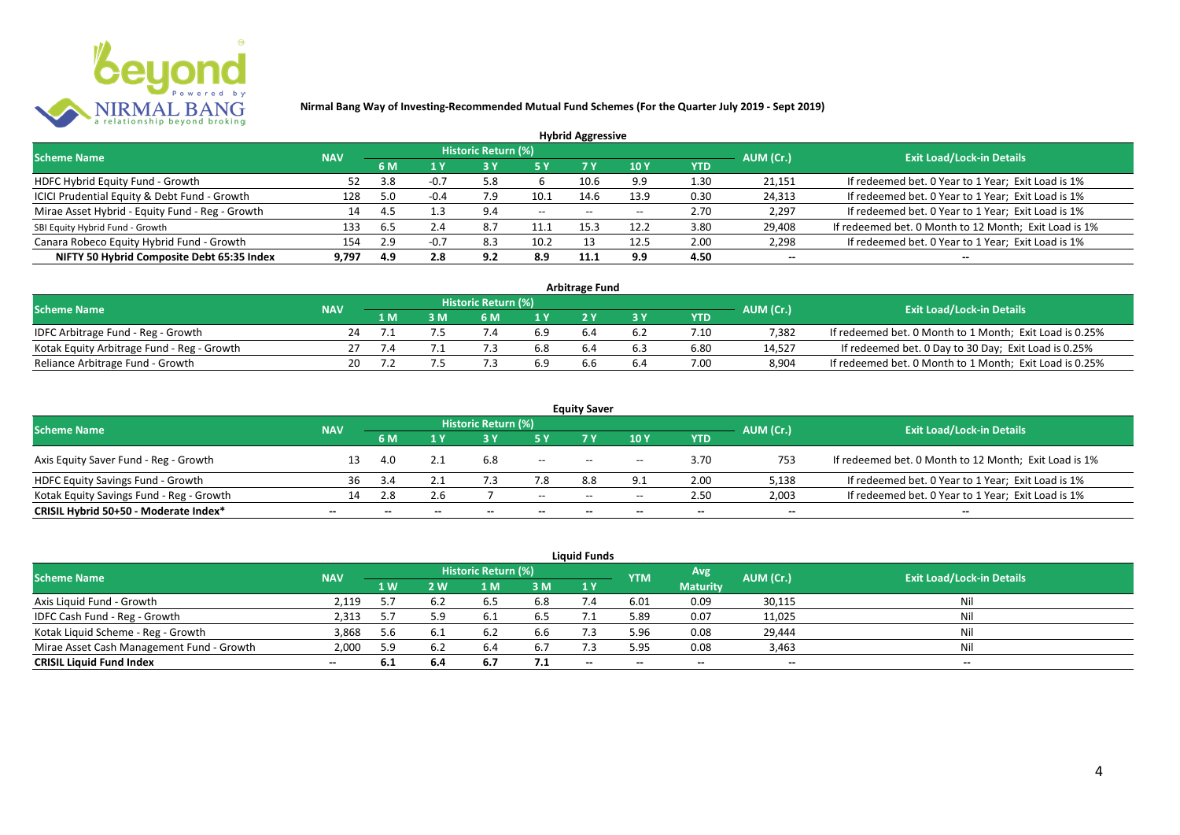

|                                                 |            |     |        |                            |      | <b>Hybrid Aggressive</b> |      |            |                          |                                                       |
|-------------------------------------------------|------------|-----|--------|----------------------------|------|--------------------------|------|------------|--------------------------|-------------------------------------------------------|
| <b>Scheme Name</b>                              | <b>NAV</b> |     |        | <b>Historic Return (%)</b> |      |                          |      |            | AUM (Cr.)                | <b>Exit Load/Lock-in Details</b>                      |
|                                                 |            | 6 M | 1 Y    |                            | 5 Y  | 7 Y                      | 10Y  | <b>YTD</b> |                          |                                                       |
| HDFC Hybrid Equity Fund - Growth                | 52         | 3.8 | $-0.7$ | 5.8                        |      | 10.6                     | 9.9  | 1.30       | 21,151                   | If redeemed bet. 0 Year to 1 Year; Exit Load is 1%    |
| ICICI Prudential Equity & Debt Fund - Growth    | 128        | 5.0 | $-0.4$ | 7.9                        | 10.1 | 14.6                     | 13.9 | 0.30       | 24,313                   | If redeemed bet. 0 Year to 1 Year; Exit Load is 1%    |
| Mirae Asset Hybrid - Equity Fund - Reg - Growth | 14         | 4.5 | 1.3    | 9.4                        | $--$ | $- -$                    |      | 2.70       | 2,297                    | If redeemed bet. 0 Year to 1 Year; Exit Load is 1%    |
| SBI Equity Hybrid Fund - Growth                 | 133        | o.5 | 2.4    | 8.7                        | 11.1 | 15.5                     | 12.2 | 3.80       | 29,408                   | If redeemed bet. 0 Month to 12 Month; Exit Load is 1% |
| Canara Robeco Equity Hybrid Fund - Growth       | 154        | 2.9 |        | 8.3                        | 10.2 |                          | 12.5 | 2.00       | 2,298                    | If redeemed bet. 0 Year to 1 Year; Exit Load is 1%    |
| NIFTY 50 Hybrid Composite Debt 65:35 Index      | 9.797      | 4.9 | 2.8    | 9.2                        | 8.9  | 11.2                     | 9.9  | 4.50       | $\overline{\phantom{a}}$ | $\overline{\phantom{a}}$                              |

| <b>Arbitrage Fund</b>                      |            |     |  |                     |     |     |     |            |           |                                                         |  |  |  |
|--------------------------------------------|------------|-----|--|---------------------|-----|-----|-----|------------|-----------|---------------------------------------------------------|--|--|--|
| <b>Scheme Name</b>                         | <b>NAV</b> |     |  | Historic Return (%) |     |     |     |            | AUM (Cr.) | <b>Exit Load/Lock-in Details</b>                        |  |  |  |
|                                            |            | 1 M |  | 6 M                 |     |     |     | <b>YTD</b> |           |                                                         |  |  |  |
| IDFC Arbitrage Fund - Reg - Growth         | 24         |     |  |                     | 6.9 |     | 6.2 | 7.10       | 7.382     | If redeemed bet. 0 Month to 1 Month; Exit Load is 0.25% |  |  |  |
| Kotak Equity Arbitrage Fund - Reg - Growth |            |     |  |                     | 6.8 | 6.4 | 6.3 | 6.80       | 14.527    | If redeemed bet. 0 Day to 30 Day; Exit Load is 0.25%    |  |  |  |
| Reliance Arbitrage Fund - Growth           | 20         |     |  |                     | 6.9 |     | b.4 | 7.00       | 8.904     | If redeemed bet. 0 Month to 1 Month; Exit Load is 0.25% |  |  |  |

|                                          |                          |                          |                          |                     |                          | <b>Equity Saver</b> |                                       |                          |                          |                                                       |
|------------------------------------------|--------------------------|--------------------------|--------------------------|---------------------|--------------------------|---------------------|---------------------------------------|--------------------------|--------------------------|-------------------------------------------------------|
| <b>Scheme Name</b>                       | <b>NAV</b>               |                          |                          | Historic Return (%) |                          |                     |                                       |                          | AUM (Cr.)                | <b>Exit Load/Lock-in Details</b>                      |
|                                          |                          | <b>6 M</b>               | 1 V                      |                     | 5 Y                      |                     | 10 Y                                  | <b>YTD</b>               |                          |                                                       |
| Axis Equity Saver Fund - Reg - Growth    |                          | 4.0                      |                          | 6.8                 | $- -$                    | $- -$               | $- -$                                 | 3.70                     | 753                      | If redeemed bet. 0 Month to 12 Month; Exit Load is 1% |
| <b>HDFC Equity Savings Fund - Growth</b> | 36                       |                          |                          |                     |                          | 8.8                 |                                       | 2.00                     | 5,138                    | If redeemed bet. 0 Year to 1 Year; Exit Load is 1%    |
| Kotak Equity Savings Fund - Reg - Growth | 14                       | 2.8                      | 2.6                      |                     | $- -$                    | $- -$               | $\hspace{0.05cm}$ – $\hspace{0.05cm}$ | 2.50                     | 2,003                    | If redeemed bet. 0 Year to 1 Year; Exit Load is 1%    |
| CRISIL Hybrid 50+50 - Moderate Index*    | $\overline{\phantom{a}}$ | $\overline{\phantom{a}}$ | $\overline{\phantom{a}}$ | $-$                 | $\overline{\phantom{a}}$ | $- -$               | $- -$                                 | $\overline{\phantom{a}}$ | $\overline{\phantom{a}}$ | $\overline{\phantom{a}}$                              |

| <b>Liquid Funds</b>                       |            |      |      |                     |     |       |            |                 |           |                                  |  |  |  |
|-------------------------------------------|------------|------|------|---------------------|-----|-------|------------|-----------------|-----------|----------------------------------|--|--|--|
| <b>Scheme Name</b>                        | <b>NAV</b> |      |      | Historic Return (%) |     |       | <b>YTM</b> | Avg             | AUM (Cr.) | <b>Exit Load/Lock-in Details</b> |  |  |  |
|                                           |            | 1 W. | 2 W  | 1 M                 | 3 M | 1Y    |            | <b>Maturity</b> |           |                                  |  |  |  |
| Axis Liquid Fund - Growth                 | 2,119      |      | 6.2  |                     | 6.8 |       | 6.01       | 0.09            | 30,115    | Nil                              |  |  |  |
| IDFC Cash Fund - Reg - Growth             | 2,313      | 5.7  |      |                     | 6.5 |       | 5.89       | 0.07            | 11,025    | Nil                              |  |  |  |
| Kotak Liquid Scheme - Reg - Growth        | 3,868      | 5.6  | -6.1 |                     | 6.6 |       | 5.96       | 0.08            | 29,444    | Nil                              |  |  |  |
| Mirae Asset Cash Management Fund - Growth | 2,000      | 5.9  | 6.2  |                     | 6.7 |       | 5.95       | 0.08            | 3,463     | Nil                              |  |  |  |
| <b>CRISIL Liquid Fund Index</b>           | $\sim$     | 6.1  | 6.4  | 6.7                 | 7.1 | $- -$ | $- -$      | $- -$           | --        | $- -$                            |  |  |  |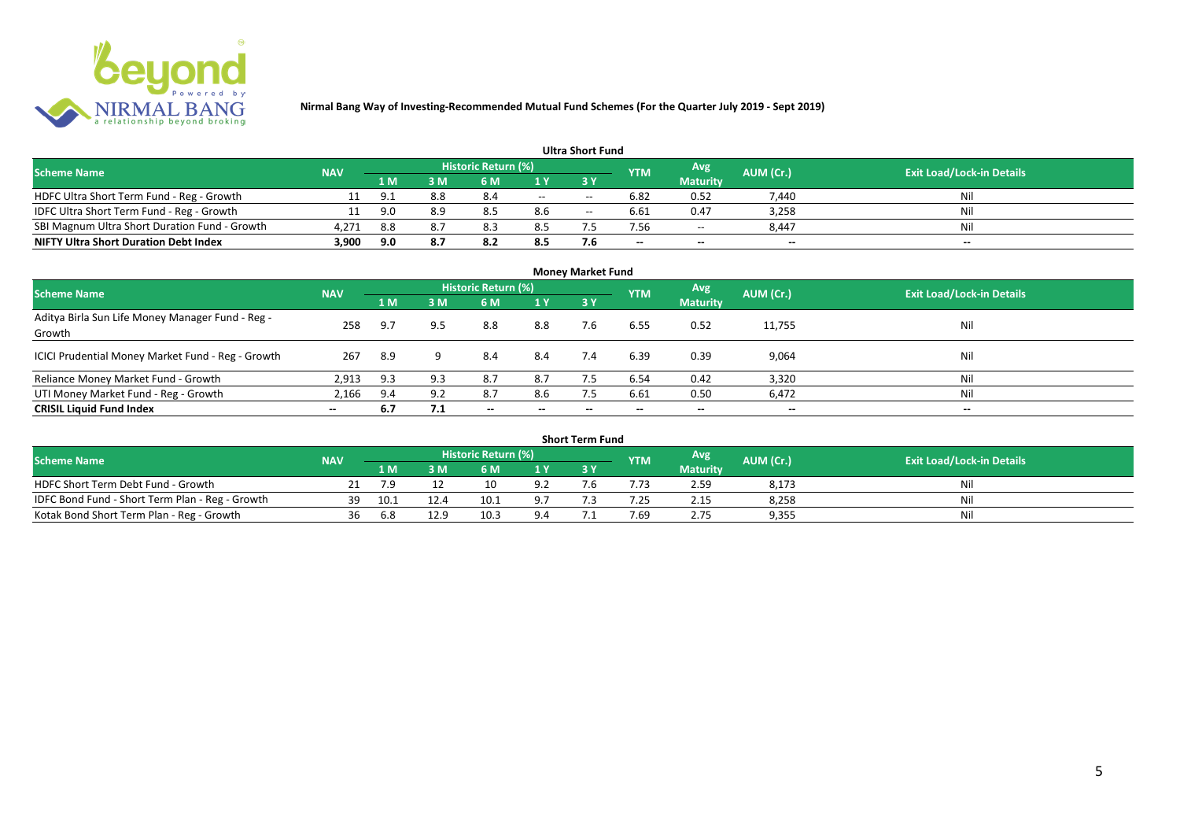

| <b>Ultra Short Fund</b>                       |            |       |     |                            |                          |       |            |                          |                          |                                  |  |  |  |
|-----------------------------------------------|------------|-------|-----|----------------------------|--------------------------|-------|------------|--------------------------|--------------------------|----------------------------------|--|--|--|
| <b>Scheme Name</b>                            | <b>NAV</b> |       |     | <b>Historic Return (%)</b> |                          |       | <b>YTM</b> | Avg                      | AUM (Cr.)                | <b>Exit Load/Lock-in Details</b> |  |  |  |
|                                               |            | 1 M . | 3 M | 6 M                        |                          | 3 Y   |            | <b>Maturity</b>          |                          |                                  |  |  |  |
| HDFC Ultra Short Term Fund - Reg - Growth     |            | 9.1   | 8.8 | 8.4                        | $\overline{\phantom{a}}$ | $- -$ | 6.82       | 0.52                     | 7,440                    | Nil                              |  |  |  |
| IDFC Ultra Short Term Fund - Reg - Growth     | 11         | 9.0   | 8.9 | 8.5                        | 8.6                      | $- -$ | 6.61       | 0.47                     | 3,258                    | Nil                              |  |  |  |
| SBI Magnum Ultra Short Duration Fund - Growth | 4,271      | 8.8   | 8.7 | 8.3                        | 8.5                      |       | 7.56       | $\overline{\phantom{a}}$ | 8,447                    | Nil                              |  |  |  |
| <b>NIFTY Ultra Short Duration Debt Index</b>  | 3,900      | 9.0   | 8.7 | 8.2                        | 8.5                      | 7.6   | $\!-$      | $\overline{\phantom{a}}$ | $\overline{\phantom{a}}$ | $\overline{\phantom{a}}$         |  |  |  |

| <b>Money Market Fund</b>                                   |            |     |     |                            |                          |           |            |                 |                          |                                  |  |  |  |
|------------------------------------------------------------|------------|-----|-----|----------------------------|--------------------------|-----------|------------|-----------------|--------------------------|----------------------------------|--|--|--|
| <b>Scheme Name</b>                                         | <b>NAV</b> |     |     | <b>Historic Return (%)</b> |                          |           | <b>YTM</b> | Avg             | AUM (Cr.)                | <b>Exit Load/Lock-in Details</b> |  |  |  |
|                                                            |            | 1 M | 3M  | 6 M                        | 1Y                       | <b>3Y</b> |            | <b>Maturity</b> |                          |                                  |  |  |  |
| Aditya Birla Sun Life Money Manager Fund - Reg -<br>Growth | 258        | 9.7 | 9.5 | 8.8                        | 8.8                      | 7.6       | 6.55       | 0.52            | 11,755                   | Nil                              |  |  |  |
| ICICI Prudential Money Market Fund - Reg - Growth          | 267        | 8.9 | q   | 8.4                        | 8.4                      | 7.4       | 6.39       | 0.39            | 9,064                    | Nil                              |  |  |  |
| Reliance Money Market Fund - Growth                        | 2,913      | 9.3 | 9.3 | 8.7                        | 8.7                      |           | 6.54       | 0.42            | 3,320                    | Nil                              |  |  |  |
| UTI Money Market Fund - Reg - Growth                       | 2,166      | 9.4 | 9.2 | 8.7                        | 8.6                      | 7.5       | 6.61       | 0.50            | 6,472                    | Nil                              |  |  |  |
| <b>CRISIL Liquid Fund Index</b>                            | $- -$      | 6.7 | 7.1 | $\overline{\phantom{a}}$   | $\overline{\phantom{a}}$ | $\!-$     | $\!-$      | $\sim$          | $\overline{\phantom{a}}$ | $\overline{\phantom{a}}$         |  |  |  |

| Short Term Fund                                 |            |      |      |                     |            |  |            |                 |           |                                  |  |  |  |
|-------------------------------------------------|------------|------|------|---------------------|------------|--|------------|-----------------|-----------|----------------------------------|--|--|--|
| <b>Scheme Name</b>                              | <b>NAV</b> |      |      | Historic Return (%) |            |  | <b>YTM</b> | Avg             | AUM (Cr.) | <b>Exit Load/Lock-in Details</b> |  |  |  |
|                                                 |            | 1 M  |      | 6 M                 | 1 V        |  |            | <b>Maturity</b> |           |                                  |  |  |  |
| HDFC Short Term Debt Fund - Growth              |            | 7.9  |      |                     | ۵í         |  |            | 2.59            | 8,173     | Nil                              |  |  |  |
| IDFC Bond Fund - Short Term Plan - Reg - Growth | 39         | 10.1 | 12.4 | 10.1                | q.         |  | .25        | 2.15            | 8,258     | Nil                              |  |  |  |
| Kotak Bond Short Term Plan - Reg - Growth       | 36         | 6.8  | 12.9 | 10.3                | $Q \Delta$ |  | 1.69       | 2.75            | 9,355     | Nil                              |  |  |  |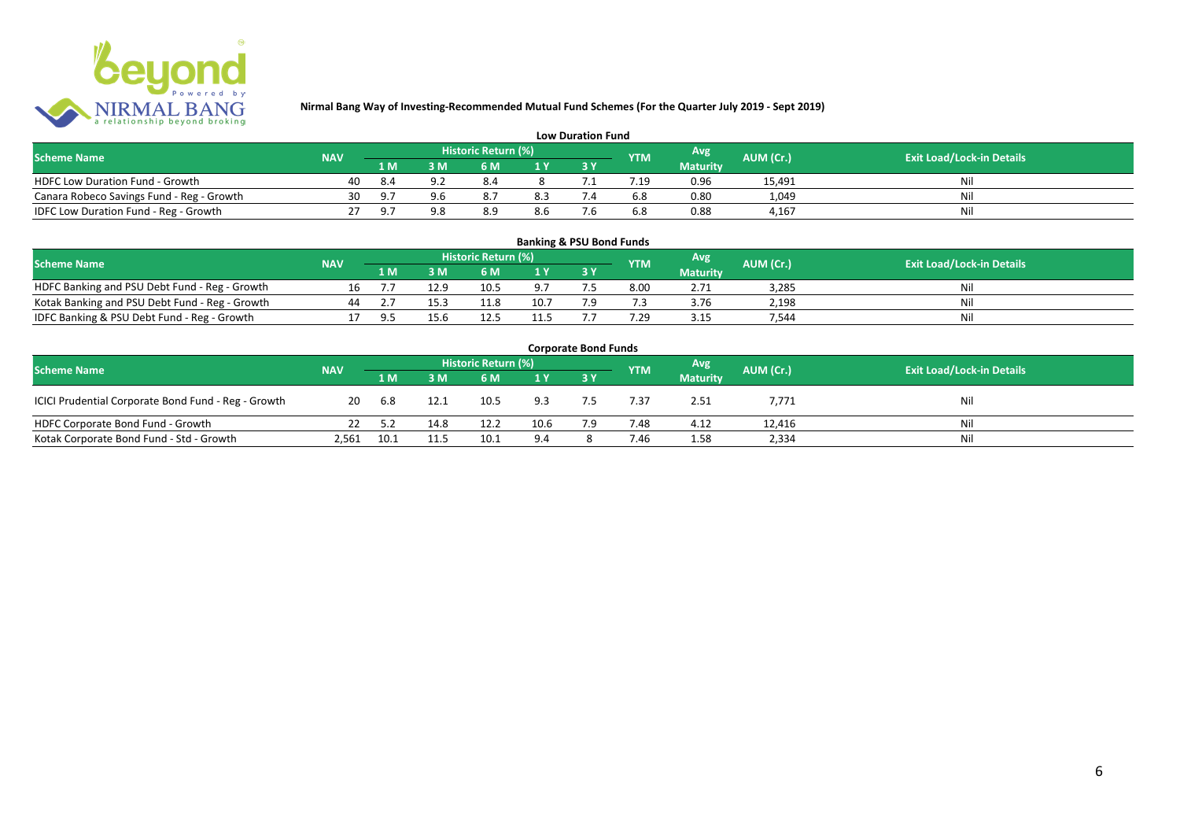

| <b>Low Duration Fund</b>                  |            |     |     |                     |     |  |            |                 |           |                                  |  |  |  |  |
|-------------------------------------------|------------|-----|-----|---------------------|-----|--|------------|-----------------|-----------|----------------------------------|--|--|--|--|
| <b>Scheme Name</b>                        | <b>NAV</b> |     |     | Historic Return (%) |     |  | <b>YTM</b> | Avg             | AUM (Cr.) | <b>Exit Load/Lock-in Details</b> |  |  |  |  |
|                                           |            | 1 M |     | 6 M                 |     |  |            | <b>Maturity</b> |           |                                  |  |  |  |  |
| <b>HDFC Low Duration Fund - Growth</b>    | 40         | 8.4 | ດ ເ | 8.4                 |     |  | .19        | 0.96            | 15,491    | Ni                               |  |  |  |  |
| Canara Robeco Savings Fund - Reg - Growth | 30         |     | 9 R |                     | 8.3 |  | 6.8        | 0.80            | 1,049     | Ni                               |  |  |  |  |
| IDFC Low Duration Fund - Reg - Growth     |            |     | ΩQ  | 8.S                 | 8.6 |  | 6.8        | 0.88            | 4.167     | -Ni                              |  |  |  |  |

| <b>Banking &amp; PSU Bond Funds</b>            |            |       |      |                     |                |  |            |                 |           |                                  |  |  |  |
|------------------------------------------------|------------|-------|------|---------------------|----------------|--|------------|-----------------|-----------|----------------------------------|--|--|--|
| <b>Scheme Name</b>                             | <b>NAV</b> |       |      | Historic Return (%) |                |  | <b>YTM</b> | Avg             | AUM (Cr.) | <b>Exit Load/Lock-in Details</b> |  |  |  |
|                                                |            | 1 M   | RМ   | 6 M                 | 1 <sub>V</sub> |  |            | <b>Maturity</b> |           |                                  |  |  |  |
| HDFC Banking and PSU Debt Fund - Reg - Growth  | 16         |       | 12.9 | 10.5                | 9.7            |  | 8.00       | 2.71            | 3.285     | Nil                              |  |  |  |
| Kotak Banking and PSU Debt Fund - Reg - Growth | 44         |       | 15.3 | 11.8                | 10.7           |  |            | 3.76            | 2,198     | Nil                              |  |  |  |
| IDFC Banking & PSU Debt Fund - Reg - Growth    |            | $Q$ 5 | 15.6 |                     | 11.5           |  | .29        | 3.15            | 544.      | Nil                              |  |  |  |

| <b>Corporate Bond Funds</b>                         |            |      |      |                     |      |     |            |                 |           |                                  |  |  |  |
|-----------------------------------------------------|------------|------|------|---------------------|------|-----|------------|-----------------|-----------|----------------------------------|--|--|--|
| <b>Scheme Name</b>                                  | <b>NAV</b> |      |      | Historic Return (%) |      |     | <b>YTM</b> | Avg             | AUM (Cr.) | <b>Exit Load/Lock-in Details</b> |  |  |  |
|                                                     |            | 1 M  | 3 M  | 6 M                 | 1 Y  |     |            | <b>Maturity</b> |           |                                  |  |  |  |
| ICICI Prudential Corporate Bond Fund - Reg - Growth | 20         | 6.8  | 12.1 | 10.5                | 9.3  |     | 7.37       | 2.51            | 7,771     | Nil                              |  |  |  |
| HDFC Corporate Bond Fund - Growth                   |            | 5.2  | 14.8 | 12.2                | 10.6 | 7.9 | 7.48       | 4.12            | 12,416    | Ni                               |  |  |  |
| Kotak Corporate Bond Fund - Std - Growth            | 2,561      | 10.1 | 11.5 | 10.1                | 9.4  |     | 7.46       | 1.58            | 2,334     | Nil                              |  |  |  |